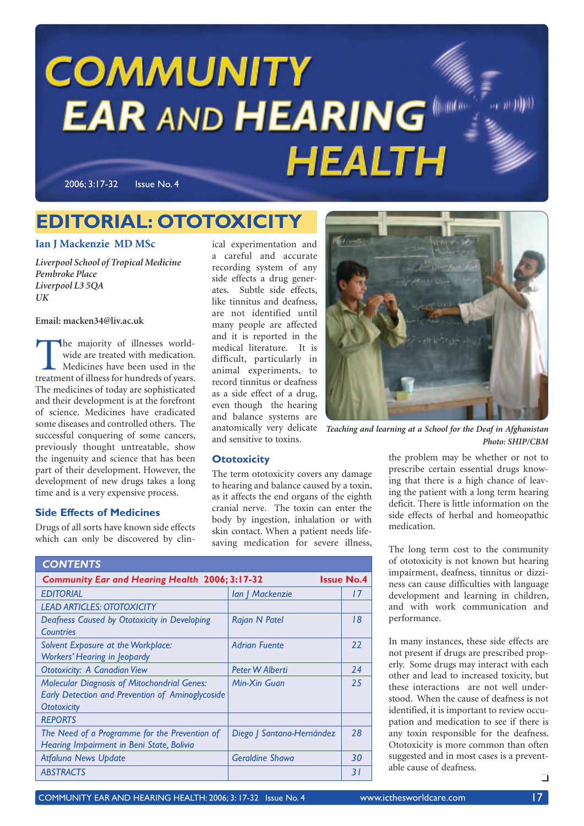# **COMMUNITY EAR AND HEARING HEALTH**

2006; 3:17-32 Issue No. 4

### **EDITORIAL: OTOTOXICITY**

### **Ian J Mackenzie MD MSc**

*Liverpool School of Tropical Medicine Pembroke Place Liverpool L3 5QA UK*

**Email: macken34@liv.ac.uk**

The majority of illnesses world-<br>
wide are treated with medication.<br>
Medicines have been used in the<br>
treatment of illness for hundreds of years. wide are treated with medication. Medicines have been used in the The medicines of today are sophisticated and their development is at the forefront of science. Medicines have eradicated some diseases and controlled others. The successful conquering of some cancers, previously thought untreatable, show the ingenuity and science that has been part of their development. However, the development of new drugs takes a long time and is a very expensive process.

### **Side Effects of Medicines**

Drugs of all sorts have known side effects which can only be discovered by clin-

ical experimentation and a careful and accurate recording system of any side effects a drug generates. Subtle side effects, like tinnitus and deafness, are not identified until many people are affected and it is reported in the medical literature. It is difficult, particularly in animal experiments, to record tinnitus or deafness as a side effect of a drug, even though the hearing and balance systems are anatomically very delicate and sensitive to toxins.



*Teaching and learning at a School for the Deaf in Afghanistan Photo: SHIP/CBM*

### **Ototoxicity**

The term ototoxicity covers any damage to hearing and balance caused by a toxin, as it affects the end organs of the eighth cranial nerve. The toxin can enter the body by ingestion, inhalation or with skin contact. When a patient needs lifesaving medication for severe illness,

| <b>CONTENTS</b>                                                                                                              |                           |                 |
|------------------------------------------------------------------------------------------------------------------------------|---------------------------|-----------------|
| <b>Community Ear and Hearing Health 2006; 3:17-32</b><br><b>Issue No.4</b>                                                   |                           |                 |
| <b>EDITORIAL</b>                                                                                                             | Ian   Mackenzie           | 17              |
| <b>LEAD ARTICLES: OTOTOXICITY</b>                                                                                            |                           |                 |
| Deafness Caused by Ototoxicity in Developing<br>Countries                                                                    | Rajan N Patel             | 18              |
| Solvent Exposure at the Workplace:<br><b>Workers' Hearing in Jeopardy</b>                                                    | <b>Adrian Fuente</b>      | 22              |
| <b>Ototoxicity: A Canadian View</b>                                                                                          | Peter W Alberti           | 24              |
| <b>Molecular Diagnosis of Mitochondrial Genes:</b><br>Early Detection and Prevention of Aminoglycoside<br><b>Ototoxicity</b> | Min-Xin Guan              | 25              |
| <b>REPORTS</b>                                                                                                               |                           |                 |
| The Need of a Programme for the Prevention of<br>Hearing Impairment in Beni State, Bolivia                                   | Diego   Santana-Hernández | 28              |
| <b>Atfaluna News Update</b>                                                                                                  | <b>Geraldine Shawa</b>    | 30              |
| <b>ABSTRACTS</b>                                                                                                             |                           | $\overline{31}$ |

the problem may be whether or not to prescribe certain essential drugs knowing that there is a high chance of leaving the patient with a long term hearing deficit. There is little information on the side effects of herbal and homeopathic medication.

The long term cost to the community of ototoxicity is not known but hearing impairment, deafness, tinnitus or dizziness can cause difficulties with language development and learning in children, and with work communication and performance.

In many instances, these side effects are not present if drugs are prescribed properly. Some drugs may interact with each other and lead to increased toxicity, but these interactions are not well understood. When the cause of deafness is not identified, it is important to review occupation and medication to see if there is any toxin responsible for the deafness. Ototoxicity is more common than often suggested and in most cases is a preventable cause of deafness.  $\Box$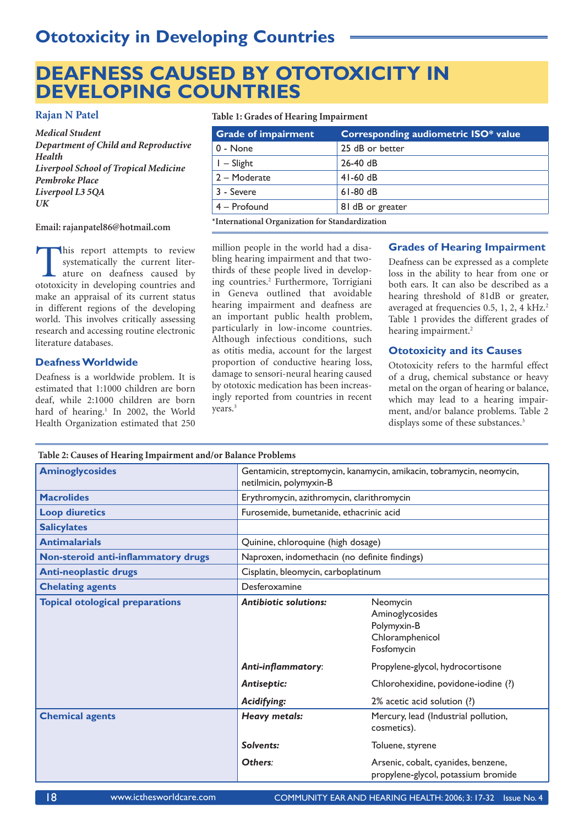### **DEAFNESS CAUSED BY OTOTOXICITY IN DEVELOPING COUNTRIES**

### **Rajan N Patel**

*Medical Student Department of Child and Reproductive Health Liverpool School of Tropical Medicine Pembroke Place Liverpool L3 5QA UK*

#### **Email: rajanpatel86@hotmail.com**

This report attempts to review<br>systematically the current liter-<br>ature on deafness caused by<br>ototoxicity in developing countries and systematically the current literature on deafness caused by ototoxicity in developing countries and make an appraisal of its current status in different regions of the developing world. This involves critically assessing research and accessing routine electronic literature databases.

### **Deafness Worldwide**

Deafness is a worldwide problem. It is estimated that 1:1000 children are born deaf, while 2:1000 children are born hard of hearing.<sup>1</sup> In 2002, the World Health Organization estimated that 250

**Table 2: Causes of Hearing Impairment and/or Balance Problems**

### **Table 1: Grades of Hearing Impairment**

| <b>Grade of impairment</b>                      | <b>Corresponding audiometric ISO* value</b> |  |
|-------------------------------------------------|---------------------------------------------|--|
| 0 - None                                        | 25 dB or better                             |  |
| $I - S$ light                                   | $26-40$ dB                                  |  |
| 2 - Moderate                                    | $41-60$ dB                                  |  |
| 3 - Severe                                      | $61-80$ dB                                  |  |
| $4 -$ Profound                                  | 81 dB or greater                            |  |
| *International Organization for Standardization |                                             |  |

**\*International Organization for Standardization**

million people in the world had a disabling hearing impairment and that twothirds of these people lived in developing countries.2 Furthermore, Torrigiani in Geneva outlined that avoidable hearing impairment and deafness are an important public health problem, particularly in low-income countries. Although infectious conditions, such as otitis media, account for the largest proportion of conductive hearing loss, damage to sensori-neural hearing caused by ototoxic medication has been increasingly reported from countries in recent years.<sup>3</sup>

### **Grades of Hearing Impairment**

Deafness can be expressed as a complete loss in the ability to hear from one or both ears. It can also be described as a hearing threshold of 81dB or greater, averaged at frequencies 0.5, 1, 2, 4 kHz.<sup>2</sup> Table 1 provides the different grades of hearing impairment.<sup>2</sup>

### **Ototoxicity and its Causes**

Ototoxicity refers to the harmful effect of a drug, chemical substance or heavy metal on the organ of hearing or balance, which may lead to a hearing impairment, and/or balance problems. Table 2 displays some of these substances.<sup>3</sup>

| Table 2. Causes of freating thipan ment and/of balance I footeins |                                                                                                 |                                                                             |  |
|-------------------------------------------------------------------|-------------------------------------------------------------------------------------------------|-----------------------------------------------------------------------------|--|
| <b>Aminoglycosides</b>                                            | Gentamicin, streptomycin, kanamycin, amikacin, tobramycin, neomycin,<br>netilmicin, polymyxin-B |                                                                             |  |
| <b>Macrolides</b>                                                 | Erythromycin, azithromycin, clarithromycin                                                      |                                                                             |  |
| <b>Loop diuretics</b>                                             | Furosemide, bumetanide, ethacrinic acid                                                         |                                                                             |  |
| <b>Salicylates</b>                                                |                                                                                                 |                                                                             |  |
| <b>Antimalarials</b>                                              | Quinine, chloroquine (high dosage)                                                              |                                                                             |  |
| Non-steroid anti-inflammatory drugs                               | Naproxen, indomethacin (no definite findings)                                                   |                                                                             |  |
| <b>Anti-neoplastic drugs</b>                                      | Cisplatin, bleomycin, carboplatinum                                                             |                                                                             |  |
| <b>Chelating agents</b>                                           | Desferoxamine                                                                                   |                                                                             |  |
| <b>Topical otological preparations</b>                            | <b>Antibiotic solutions:</b>                                                                    | Neomycin<br>Aminoglycosides<br>Polymyxin-B<br>Chloramphenicol<br>Fosfomycin |  |
|                                                                   | Anti-inflammatory:                                                                              | Propylene-glycol, hydrocortisone                                            |  |
|                                                                   | <b>Antiseptic:</b>                                                                              | Chlorohexidine, povidone-iodine (?)                                         |  |
|                                                                   | Acidifying:                                                                                     | 2% acetic acid solution (?)                                                 |  |
| <b>Chemical agents</b>                                            | <b>Heavy metals:</b>                                                                            | Mercury, lead (Industrial pollution,<br>cosmetics).                         |  |
|                                                                   | Solvents:                                                                                       | Toluene, styrene                                                            |  |
|                                                                   | Others:                                                                                         | Arsenic, cobalt, cyanides, benzene,<br>propylene-glycol, potassium bromide  |  |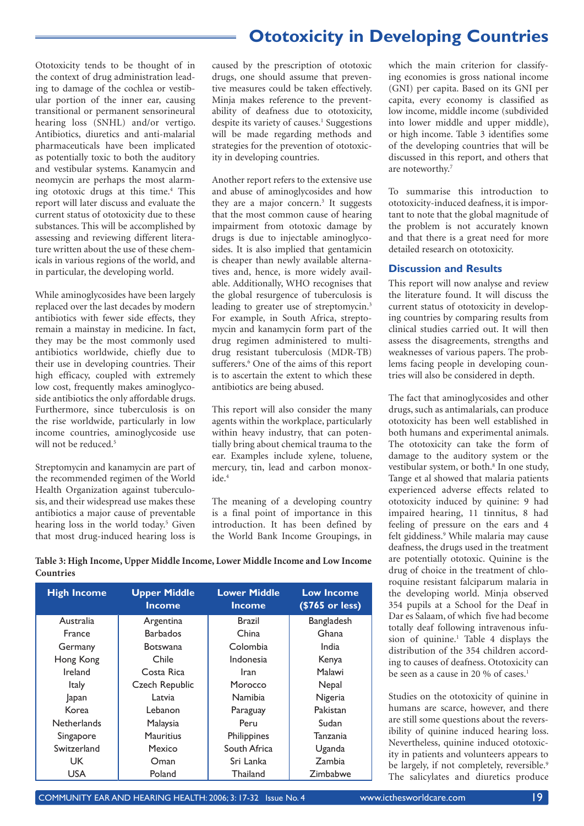Ototoxicity tends to be thought of in the context of drug administration leading to damage of the cochlea or vestibular portion of the inner ear, causing transitional or permanent sensorineural hearing loss (SNHL) and/or vertigo. Antibiotics, diuretics and anti-malarial pharmaceuticals have been implicated as potentially toxic to both the auditory and vestibular systems. Kanamycin and neomycin are perhaps the most alarming ototoxic drugs at this time.<sup>4</sup> This report will later discuss and evaluate the current status of ototoxicity due to these substances. This will be accomplished by assessing and reviewing different literature written about the use of these chemicals in various regions of the world, and in particular, the developing world.

While aminoglycosides have been largely replaced over the last decades by modern antibiotics with fewer side effects, they remain a mainstay in medicine. In fact, they may be the most commonly used antibiotics worldwide, chiefly due to their use in developing countries. Their high efficacy, coupled with extremely low cost, frequently makes aminoglycoside antibiotics the only affordable drugs. Furthermore, since tuberculosis is on the rise worldwide, particularly in low income countries, aminoglycoside use will not be reduced.<sup>5</sup>

Streptomycin and kanamycin are part of the recommended regimen of the World Health Organization against tuberculosis, and their widespread use makes these antibiotics a major cause of preventable hearing loss in the world today.<sup>5</sup> Given that most drug-induced hearing loss is

caused by the prescription of ototoxic drugs, one should assume that preventive measures could be taken effectively. Minja makes reference to the preventability of deafness due to ototoxicity, despite its variety of causes.<sup>1</sup> Suggestions will be made regarding methods and strategies for the prevention of ototoxicity in developing countries.

Another report refers to the extensive use and abuse of aminoglycosides and how they are a major concern.<sup>3</sup> It suggests that the most common cause of hearing impairment from ototoxic damage by drugs is due to injectable aminoglycosides. It is also implied that gentamicin is cheaper than newly available alternatives and, hence, is more widely available. Additionally, WHO recognises that the global resurgence of tuberculosis is leading to greater use of streptomycin.<sup>3</sup> For example, in South Africa, streptomycin and kanamycin form part of the drug regimen administered to multidrug resistant tuberculosis (MDR-TB) sufferers.<sup>6</sup> One of the aims of this report is to ascertain the extent to which these antibiotics are being abused.

This report will also consider the many agents within the workplace, particularly within heavy industry, that can potentially bring about chemical trauma to the ear. Examples include xylene, toluene, mercury, tin, lead and carbon monoxide.<sup>4</sup>

The meaning of a developing country is a final point of importance in this introduction. It has been defined by the World Bank Income Groupings, in which the main criterion for classifying economies is gross national income (GNI) per capita. Based on its GNI per capita, every economy is classified as low income, middle income (subdivided into lower middle and upper middle), or high income. Table 3 identifies some of the developing countries that will be discussed in this report, and others that are noteworthy.<sup>7</sup>

To summarise this introduction to ototoxicity-induced deafness, it is important to note that the global magnitude of the problem is not accurately known and that there is a great need for more detailed research on ototoxicity.

#### **Discussion and Results**

This report will now analyse and review the literature found. It will discuss the current status of ototoxicity in developing countries by comparing results from clinical studies carried out. It will then assess the disagreements, strengths and weaknesses of various papers. The problems facing people in developing countries will also be considered in depth.

The fact that aminoglycosides and other drugs, such as antimalarials, can produce ototoxicity has been well established in both humans and experimental animals. The ototoxicity can take the form of damage to the auditory system or the vestibular system, or both.<sup>8</sup> In one study, Tange et al showed that malaria patients experienced adverse effects related to ototoxicity induced by quinine: 9 had impaired hearing, 11 tinnitus, 8 had feeling of pressure on the ears and 4 felt giddiness.9 While malaria may cause deafness, the drugs used in the treatment are potentially ototoxic. Quinine is the drug of choice in the treatment of chloroquine resistant falciparum malaria in the developing world. Minja observed 354 pupils at a School for the Deaf in Dar es Salaam, of which five had become totally deaf following intravenous infusion of quinine.<sup>1</sup> Table 4 displays the distribution of the 354 children according to causes of deafness. Ototoxicity can be seen as a cause in 20 % of cases.<sup>1</sup>

Studies on the ototoxicity of quinine in humans are scarce, however, and there are still some questions about the reversibility of quinine induced hearing loss. Nevertheless, quinine induced ototoxicity in patients and volunteers appears to be largely, if not completely, reversible.<sup>9</sup> The salicylates and diuretics produce

**Table 3: High Income, Upper Middle Income, Lower Middle Income and Low Income Countries**

| <b>High Income</b> | <b>Upper Middle</b><br><b>Income</b> | <b>Lower Middle</b><br><b>Income</b> | <b>Low Income</b><br>$( $765$ or less) |
|--------------------|--------------------------------------|--------------------------------------|----------------------------------------|
| Australia          | Argentina                            | Brazil                               | <b>Bangladesh</b>                      |
| <b>France</b>      | <b>Barbados</b>                      | China                                | Ghana                                  |
| Germany            | <b>Botswana</b>                      | Colombia                             | India                                  |
| Hong Kong          | Chile                                | Indonesia                            | Kenya                                  |
| Ireland            | Costa Rica                           | <b>Iran</b>                          | Malawi                                 |
| <b>Italy</b>       | Czech Republic                       | Morocco                              | Nepal                                  |
| Japan              | Latvia                               | <b>Namibia</b>                       | Nigeria                                |
| Korea              | Lebanon                              | Paraguay                             | Pakistan                               |
| <b>Netherlands</b> | Malaysia                             | Peru                                 | Sudan                                  |
| Singapore          | <b>Mauritius</b>                     | Philippines                          | Tanzania                               |
| Switzerland        | Mexico                               | South Africa                         | Uganda                                 |
| UK                 | Oman                                 | Sri Lanka                            | Zambia                                 |
| <b>USA</b>         | Poland                               | <b>Thailand</b>                      | Zimbabwe                               |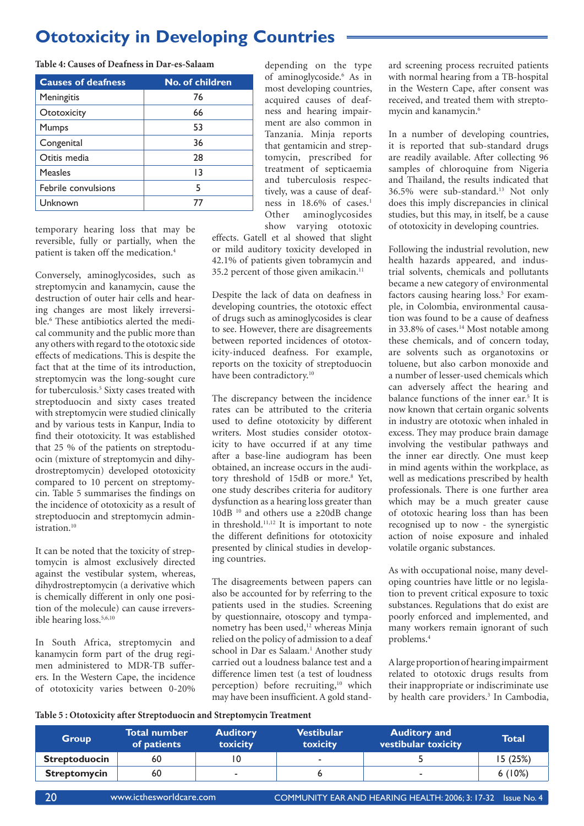**Table 4: Causes of Deafness in Dar-es-Salaam**

| <b>Causes of deafness</b> | <b>No. of children</b> |
|---------------------------|------------------------|
| Meningitis                | 76                     |
| Ototoxicity               | 66                     |
| Mumps                     | 53                     |
| Congenital                | 36                     |
| Otitis media              | 28                     |
| <b>Measles</b>            | 13                     |
| Febrile convulsions       | 5                      |
| Unknown                   | 77                     |

temporary hearing loss that may be reversible, fully or partially, when the patient is taken off the medication.<sup>4</sup>

Conversely, aminoglycosides, such as streptomycin and kanamycin, cause the destruction of outer hair cells and hearing changes are most likely irreversible.<sup>6</sup> These antibiotics alerted the medical community and the public more than any others with regard to the ototoxic side effects of medications. This is despite the fact that at the time of its introduction, streptomycin was the long-sought cure for tuberculosis.<sup>5</sup> Sixty cases treated with streptoduocin and sixty cases treated with streptomycin were studied clinically and by various tests in Kanpur, India to find their ototoxicity. It was established that 25 % of the patients on streptoduocin (mixture of streptomycin and dihydrostreptomycin) developed ototoxicity compared to 10 percent on streptomycin. Table 5 summarises the findings on the incidence of ototoxicity as a result of streptoduocin and streptomycin administration.<sup>10</sup>

It can be noted that the toxicity of streptomycin is almost exclusively directed against the vestibular system, whereas, dihydrostreptomycin (a derivative which is chemically different in only one position of the molecule) can cause irreversible hearing loss.<sup>5,6,10</sup>

In South Africa, streptomycin and kanamycin form part of the drug regimen administered to MDR-TB sufferers. In the Western Cape, the incidence of ototoxicity varies between 0-20%

depending on the type of aminoglycoside.6 As in most developing countries, acquired causes of deafness and hearing impairment are also common in Tanzania. Minja reports that gentamicin and streptomycin, prescribed for treatment of septicaemia and tuberculosis respectively, was a cause of deafness in 18.6% of cases.<sup>1</sup> Other aminoglycosides show varying ototoxic

effects. Gatell et al showed that slight or mild auditory toxicity developed in 42.1% of patients given tobramycin and 35.2 percent of those given amikacin.11

Despite the lack of data on deafness in developing countries, the ototoxic effect of drugs such as aminoglycosides is clear to see. However, there are disagreements between reported incidences of ototoxicity-induced deafness. For example, reports on the toxicity of streptoduocin have been contradictory.<sup>10</sup>

The discrepancy between the incidence rates can be attributed to the criteria used to define ototoxicity by different writers. Most studies consider ototoxicity to have occurred if at any time after a base-line audiogram has been obtained, an increase occurs in the auditory threshold of 15dB or more.<sup>8</sup> Yet, one study describes criteria for auditory dysfunction as a hearing loss greater than 10dB <sup>10</sup> and others use a ≥20dB change in threshold. $11,12$  It is important to note the different definitions for ototoxicity presented by clinical studies in developing countries.

The disagreements between papers can also be accounted for by referring to the patients used in the studies. Screening by questionnaire, otoscopy and tympanometry has been used,<sup>12</sup> whereas Minja relied on the policy of admission to a deaf school in Dar es Salaam.<sup>1</sup> Another study carried out a loudness balance test and a difference limen test (a test of loudness perception) before recruiting,<sup>10</sup> which may have been insufficient. A gold stand-

ard screening process recruited patients with normal hearing from a TB-hospital in the Western Cape, after consent was received, and treated them with streptomycin and kanamycin.<sup>6</sup>

In a number of developing countries, it is reported that sub-standard drugs are readily available. After collecting 96 samples of chloroquine from Nigeria and Thailand, the results indicated that 36.5% were sub-standard.13 Not only does this imply discrepancies in clinical studies, but this may, in itself, be a cause of ototoxicity in developing countries.

Following the industrial revolution, new health hazards appeared, and industrial solvents, chemicals and pollutants became a new category of environmental factors causing hearing loss.<sup>5</sup> For example, in Colombia, environmental causation was found to be a cause of deafness in 33.8% of cases.<sup>14</sup> Most notable among these chemicals, and of concern today, are solvents such as organotoxins or toluene, but also carbon monoxide and a number of lesser-used chemicals which can adversely affect the hearing and balance functions of the inner ear.<sup>5</sup> It is now known that certain organic solvents in industry are ototoxic when inhaled in excess. They may produce brain damage involving the vestibular pathways and the inner ear directly. One must keep in mind agents within the workplace, as well as medications prescribed by health professionals. There is one further area which may be a much greater cause of ototoxic hearing loss than has been recognised up to now - the synergistic action of noise exposure and inhaled volatile organic substances.

As with occupational noise, many developing countries have little or no legislation to prevent critical exposure to toxic substances. Regulations that do exist are poorly enforced and implemented, and many workers remain ignorant of such problems.4

A large proportion of hearing impairment related to ototoxic drugs results from their inappropriate or indiscriminate use by health care providers.<sup>3</sup> In Cambodia,

#### **Table 5 : Ototoxicity after Streptoduocin and Streptomycin Treatment**

| <b>Group</b>         | <b>Total number</b><br>of patients | <b>Auditory</b><br>toxicity | Vestibular<br>toxicity | <b>Auditory and</b><br>vestibular toxicity | Total    |
|----------------------|------------------------------------|-----------------------------|------------------------|--------------------------------------------|----------|
| <b>Streptoduocin</b> | 60                                 |                             |                        |                                            | I5 (25%) |
| <b>Streptomycin</b>  | 60                                 | -                           |                        |                                            | 6(10%)   |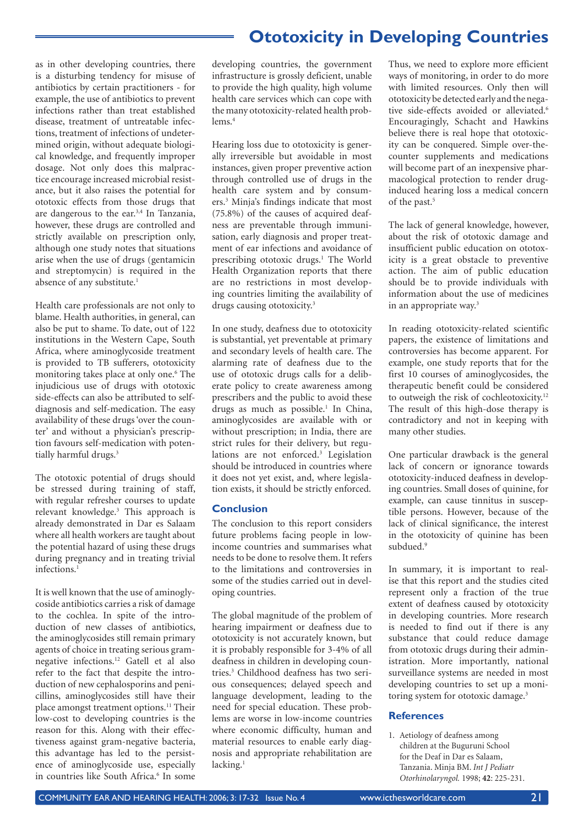as in other developing countries, there is a disturbing tendency for misuse of antibiotics by certain practitioners - for example, the use of antibiotics to prevent infections rather than treat established disease, treatment of untreatable infections, treatment of infections of undetermined origin, without adequate biological knowledge, and frequently improper dosage. Not only does this malpractice encourage increased microbial resistance, but it also raises the potential for ototoxic effects from those drugs that are dangerous to the ear.3,4 In Tanzania, however, these drugs are controlled and strictly available on prescription only, although one study notes that situations arise when the use of drugs (gentamicin and streptomycin) is required in the absence of any substitute.<sup>1</sup>

Health care professionals are not only to blame. Health authorities, in general, can also be put to shame. To date, out of 122 institutions in the Western Cape, South Africa, where aminoglycoside treatment is provided to TB sufferers, ototoxicity monitoring takes place at only one.6 The injudicious use of drugs with ototoxic side-effects can also be attributed to selfdiagnosis and self-medication. The easy availability of these drugs 'over the counter' and without a physician's prescription favours self-medication with potentially harmful drugs.<sup>3</sup>

The ototoxic potential of drugs should be stressed during training of staff, with regular refresher courses to update relevant knowledge.3 This approach is already demonstrated in Dar es Salaam where all health workers are taught about the potential hazard of using these drugs during pregnancy and in treating trivial infections.<sup>1</sup>

It is well known that the use of aminoglycoside antibiotics carries a risk of damage to the cochlea. In spite of the introduction of new classes of antibiotics, the aminoglycosides still remain primary agents of choice in treating serious gramnegative infections.12 Gatell et al also refer to the fact that despite the introduction of new cephalosporins and penicillins, aminoglycosides still have their place amongst treatment options.11 Their low-cost to developing countries is the reason for this. Along with their effectiveness against gram-negative bacteria, this advantage has led to the persistence of aminoglycoside use, especially in countries like South Africa.<sup>6</sup> In some developing countries, the government infrastructure is grossly deficient, unable to provide the high quality, high volume health care services which can cope with the many ototoxicity-related health problems.4

Hearing loss due to ototoxicity is generally irreversible but avoidable in most instances, given proper preventive action through controlled use of drugs in the health care system and by consumers.3 Minja's findings indicate that most (75.8%) of the causes of acquired deafness are preventable through immunisation, early diagnosis and proper treatment of ear infections and avoidance of prescribing ototoxic drugs.<sup>1</sup> The World Health Organization reports that there are no restrictions in most developing countries limiting the availability of drugs causing ototoxicity.<sup>3</sup>

In one study, deafness due to ototoxicity is substantial, yet preventable at primary and secondary levels of health care. The alarming rate of deafness due to the use of ototoxic drugs calls for a deliberate policy to create awareness among prescribers and the public to avoid these drugs as much as possible.<sup>1</sup> In China, aminoglycosides are available with or without prescription; in India, there are strict rules for their delivery, but regulations are not enforced.<sup>3</sup> Legislation should be introduced in countries where it does not yet exist, and, where legislation exists, it should be strictly enforced.

### **Conclusion**

The conclusion to this report considers future problems facing people in lowincome countries and summarises what needs to be done to resolve them. It refers to the limitations and controversies in some of the studies carried out in developing countries.

The global magnitude of the problem of hearing impairment or deafness due to ototoxicity is not accurately known, but it is probably responsible for 3-4% of all deafness in children in developing countries.3 Childhood deafness has two serious consequences; delayed speech and language development, leading to the need for special education. These problems are worse in low-income countries where economic difficulty, human and material resources to enable early diagnosis and appropriate rehabilitation are lacking.<sup>1</sup>

Thus, we need to explore more efficient ways of monitoring, in order to do more with limited resources. Only then will ototoxicity be detected early and the negative side-effects avoided or alleviated.<sup>6</sup> Encouragingly, Schacht and Hawkins believe there is real hope that ototoxicity can be conquered. Simple over-thecounter supplements and medications will become part of an inexpensive pharmacological protection to render druginduced hearing loss a medical concern of the past.<sup>5</sup>

The lack of general knowledge, however, about the risk of ototoxic damage and insufficient public education on ototoxicity is a great obstacle to preventive action. The aim of public education should be to provide individuals with information about the use of medicines in an appropriate way.<sup>3</sup>

In reading ototoxicity-related scientific papers, the existence of limitations and controversies has become apparent. For example, one study reports that for the first 10 courses of aminoglycosides, the therapeutic benefit could be considered to outweigh the risk of cochleotoxicity.<sup>12</sup> The result of this high-dose therapy is contradictory and not in keeping with many other studies.

One particular drawback is the general lack of concern or ignorance towards ototoxicity-induced deafness in developing countries. Small doses of quinine, for example, can cause tinnitus in susceptible persons. However, because of the lack of clinical significance, the interest in the ototoxicity of quinine has been subdued.<sup>9</sup>

In summary, it is important to realise that this report and the studies cited represent only a fraction of the true extent of deafness caused by ototoxicity in developing countries. More research is needed to find out if there is any substance that could reduce damage from ototoxic drugs during their administration. More importantly, national surveillance systems are needed in most developing countries to set up a monitoring system for ototoxic damage.<sup>3</sup>

### **References**

1. Aetiology of deafness among children at the Buguruni School for the Deaf in Dar es Salaam, Tanzania. Minja BM. *Int J Pediatr Otorhinolaryngol.* 1998; **42**: 225-231.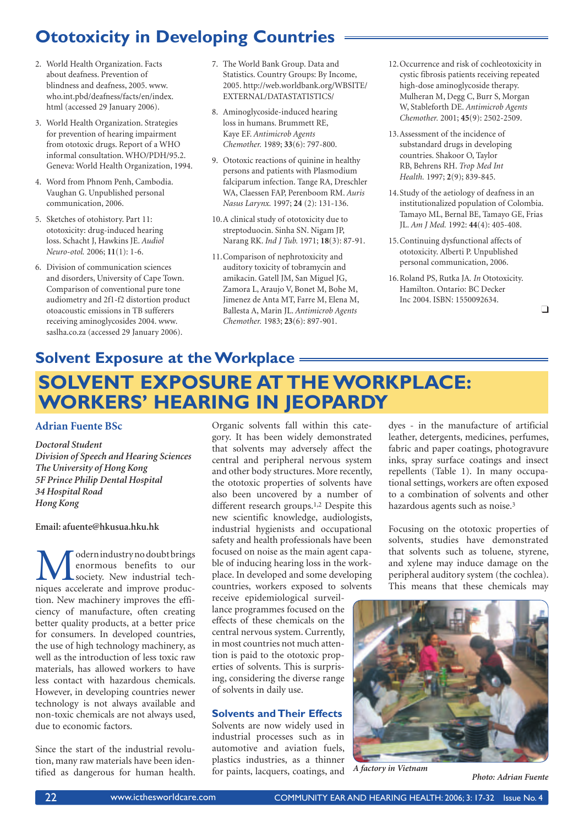- 2. World Health Organization. Facts about deafness. Prevention of blindness and deafness, 2005. www. who.int.pbd/deafness/facts/en/index. html (accessed 29 January 2006).
- 3. World Health Organization. Strategies for prevention of hearing impairment from ototoxic drugs. Report of a WHO informal consultation. WHO/PDH/95.2. Geneva: World Health Organization, 1994.
- 4. Word from Phnom Penh, Cambodia. Vaughan G. Unpublished personal communication, 2006.
- 5. Sketches of otohistory. Part 11: ototoxicity: drug-induced hearing loss. Schacht J, Hawkins JE. *Audiol Neuro-otol.* 2006; **11**(1): 1-6.
- 6. Division of communication sciences and disorders, University of Cape Town. Comparison of conventional pure tone audiometry and 2f1-f2 distortion product otoacoustic emissions in TB sufferers receiving aminoglycosides 2004. www. saslha.co.za (accessed 29 January 2006).
- 7. The World Bank Group. Data and Statistics. Country Groups: By Income, 2005. http://web.worldbank.org/WBSITE/ EXTERNAL/DATASTATISTICS/
- 8. Aminoglycoside-induced hearing loss in humans. Brummett RE, Kaye EF. *Antimicrob Agents Chemother.* 1989; **33**(6): 797-800.
- 9. Ototoxic reactions of quinine in healthy persons and patients with Plasmodium falciparum infection. Tange RA, Dreschler WA, Claessen FAP, Perenboom RM. *Auris Nasus Larynx.* 1997; **24** (2): 131-136.
- 10. A clinical study of ototoxicity due to streptoduocin. Sinha SN. Nigam JP, Narang RK. *Ind J Tub.* 1971; **18**(3): 87-91.
- 11. Comparison of nephrotoxicity and auditory toxicity of tobramycin and amikacin. Gatell JM, San Miguel JG, Zamora L, Araujo V, Bonet M, Bohe M, Jimenez de Anta MT, Farre M, Elena M, Ballesta A, Marin JL. *Antimicrob Agents Chemother.* 1983; **23**(6): 897-901.
- 12. Occurrence and risk of cochleotoxicity in cystic fibrosis patients receiving repeated high-dose aminoglycoside therapy. Mulheran M, Degg C, Burr S, Morgan W, Stableforth DE. *Antimicrob Agents Chemother.* 2001; **45**(9): 2502-2509.
- 13. Assessment of the incidence of substandard drugs in developing countries. Shakoor O, Taylor RB, Behrens RH. *Trop Med Int Health.* 1997; **2**(9); 839-845.
- 14. Study of the aetiology of deafness in an institutionalized population of Colombia. Tamayo ML, Bernal BE, Tamayo GE, Frias JL. *Am J Med.* 1992: **44**(4): 405-408.
- 15. Continuing dysfunctional affects of ototoxicity. Alberti P. Unpublished personal communication, 2006.
- 16. Roland PS, Rutka JA*. In* Ototoxicity. Hamilton. Ontario: BC Decker Inc 2004. ISBN: 1550092634.

 $\Box$ 

### **SOLVENT EXPOSURE AT THE WORKPLACE: WORKERS' HEARING IN JEOPARDY Solvent Exposure at the Workplace**

### **Adrian Fuente BSc**

*Doctoral Student Division of Speech and Hearing Sciences The University of Hong Kong 5F Prince Philip Dental Hospital 34 Hospital Road Hong Kong*

### **Email: afuente@hkusua.hku.hk**

odern industry no doubt brings enormous benefits to our society. New industrial techniques accelerate and improve production. New machinery improves the efficiency of manufacture, often creating better quality products, at a better price for consumers. In developed countries, the use of high technology machinery, as well as the introduction of less toxic raw materials, has allowed workers to have less contact with hazardous chemicals. However, in developing countries newer technology is not always available and non-toxic chemicals are not always used, due to economic factors.

Since the start of the industrial revolution, many raw materials have been identified as dangerous for human health. Organic solvents fall within this category. It has been widely demonstrated that solvents may adversely affect the central and peripheral nervous system and other body structures. More recently, the ototoxic properties of solvents have also been uncovered by a number of different research groups.1,2 Despite this new scientific knowledge, audiologists, industrial hygienists and occupational safety and health professionals have been focused on noise as the main agent capable of inducing hearing loss in the workplace. In developed and some developing countries, workers exposed to solvents

receive epidemiological surveillance programmes focused on the effects of these chemicals on the central nervous system. Currently, in most countries not much attention is paid to the ototoxic properties of solvents. This is surprising, considering the diverse range of solvents in daily use.

### **Solvents and Their Effects**

Solvents are now widely used in industrial processes such as in automotive and aviation fuels, plastics industries, as a thinner for paints, lacquers, coatings, and

dyes - in the manufacture of artificial leather, detergents, medicines, perfumes, fabric and paper coatings, photogravure inks, spray surface coatings and insect repellents (Table 1). In many occupational settings, workers are often exposed to a combination of solvents and other hazardous agents such as noise.3

Focusing on the ototoxic properties of solvents, studies have demonstrated that solvents such as toluene, styrene, and xylene may induce damage on the peripheral auditory system (the cochlea). This means that these chemicals may



*A factory in Vietnam*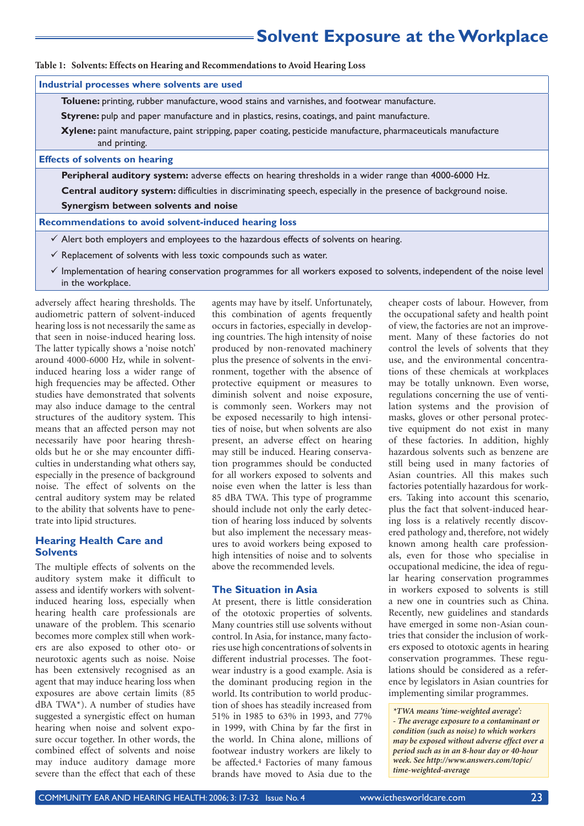### **Solvent Exposure at the Workplace**

**Table 1: Solvents: Effects on Hearing and Recommendations to Avoid Hearing Loss**

| Industrial processes where solvents are used                                                                                   |
|--------------------------------------------------------------------------------------------------------------------------------|
| Toluene: printing, rubber manufacture, wood stains and varnishes, and footwear manufacture.                                    |
| Styrene: pulp and paper manufacture and in plastics, resins, coatings, and paint manufacture.                                  |
| Xylene: paint manufacture, paint stripping, paper coating, pesticide manufacture, pharmaceuticals manufacture<br>and printing. |
| <b>Effects of solvents on hearing</b>                                                                                          |
| <b>Peripheral auditory system:</b> adverse effects on hearing thresholds in a wider range than 4000-6000 Hz.                   |
| Central auditory system: difficulties in discriminating speech, especially in the presence of background noise.                |
| Synergism between solvents and noise                                                                                           |
| Recommendations to avoid solvent-induced hearing loss                                                                          |
| $\checkmark$ Alert both employers and employees to the hazardous effects of solvents on hearing.                               |
| $\checkmark$ Replacement of solvents with less toxic compounds such as water.                                                  |

 $\checkmark$  Implementation of hearing conservation programmes for all workers exposed to solvents, independent of the noise level in the workplace.

adversely affect hearing thresholds. The audiometric pattern of solvent-induced hearing loss is not necessarily the same as that seen in noise-induced hearing loss. The latter typically shows a 'noise notch' around 4000-6000 Hz, while in solventinduced hearing loss a wider range of high frequencies may be affected. Other studies have demonstrated that solvents may also induce damage to the central structures of the auditory system. This means that an affected person may not necessarily have poor hearing thresholds but he or she may encounter difficulties in understanding what others say, especially in the presence of background noise. The effect of solvents on the central auditory system may be related to the ability that solvents have to penetrate into lipid structures.

### **Hearing Health Care and Solvents**

The multiple effects of solvents on the auditory system make it difficult to assess and identify workers with solventinduced hearing loss, especially when hearing health care professionals are unaware of the problem. This scenario becomes more complex still when workers are also exposed to other oto- or neurotoxic agents such as noise. Noise has been extensively recognised as an agent that may induce hearing loss when exposures are above certain limits (85 dBA TWA\*). A number of studies have suggested a synergistic effect on human hearing when noise and solvent exposure occur together. In other words, the combined effect of solvents and noise may induce auditory damage more severe than the effect that each of these

agents may have by itself. Unfortunately, this combination of agents frequently occurs in factories, especially in developing countries. The high intensity of noise produced by non-renovated machinery plus the presence of solvents in the environment, together with the absence of protective equipment or measures to diminish solvent and noise exposure, is commonly seen. Workers may not be exposed necessarily to high intensities of noise, but when solvents are also present, an adverse effect on hearing may still be induced. Hearing conservation programmes should be conducted for all workers exposed to solvents and noise even when the latter is less than 85 dBA TWA. This type of programme should include not only the early detection of hearing loss induced by solvents but also implement the necessary measures to avoid workers being exposed to high intensities of noise and to solvents above the recommended levels.

#### **The Situation in Asia**

At present, there is little consideration of the ototoxic properties of solvents. Many countries still use solvents without control. In Asia, for instance, many factories use high concentrations of solvents in different industrial processes. The footwear industry is a good example. Asia is the dominant producing region in the world. Its contribution to world production of shoes has steadily increased from 51% in 1985 to 63% in 1993, and 77% in 1999, with China by far the first in the world. In China alone, millions of footwear industry workers are likely to be affected.4 Factories of many famous brands have moved to Asia due to the

cheaper costs of labour. However, from the occupational safety and health point of view, the factories are not an improvement. Many of these factories do not control the levels of solvents that they use, and the environmental concentrations of these chemicals at workplaces may be totally unknown. Even worse, regulations concerning the use of ventilation systems and the provision of masks, gloves or other personal protective equipment do not exist in many of these factories. In addition, highly hazardous solvents such as benzene are still being used in many factories of Asian countries. All this makes such factories potentially hazardous for workers. Taking into account this scenario, plus the fact that solvent-induced hearing loss is a relatively recently discovered pathology and, therefore, not widely known among health care professionals, even for those who specialise in occupational medicine, the idea of regular hearing conservation programmes in workers exposed to solvents is still a new one in countries such as China. Recently, new guidelines and standards have emerged in some non-Asian countries that consider the inclusion of workers exposed to ototoxic agents in hearing conservation programmes. These regulations should be considered as a reference by legislators in Asian countries for implementing similar programmes.

*\*TWA means 'time-weighted average': - The average exposure to a contaminant or condition (such as noise) to which workers may be exposed without adverse effect over a period such as in an 8-hour day or 40-hour week. See http://www.answers.com/topic/ time-weighted-average*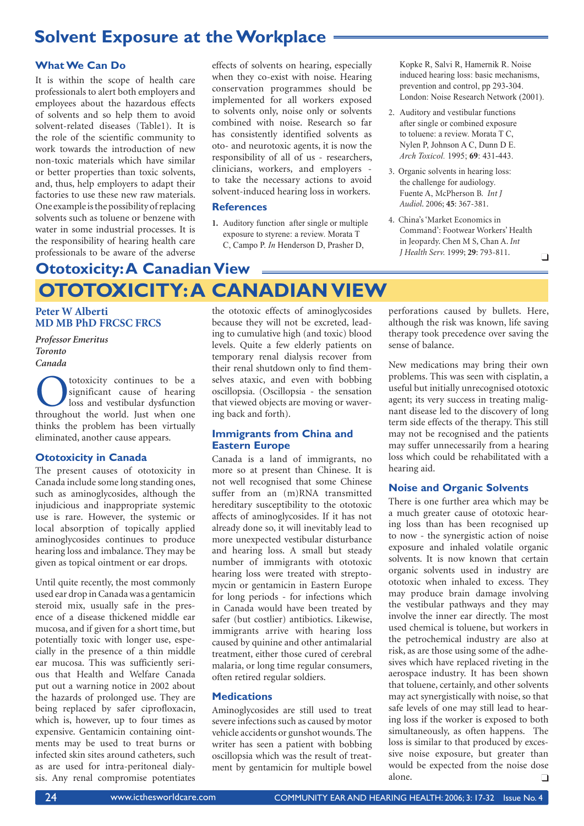### **Solvent Exposure at the Workplace**

### **What We Can Do**

It is within the scope of health care professionals to alert both employers and employees about the hazardous effects of solvents and so help them to avoid solvent-related diseases (Table1). It is the role of the scientific community to work towards the introduction of new non-toxic materials which have similar or better properties than toxic solvents, and, thus, help employers to adapt their factories to use these new raw materials. One example is the possibility of replacing solvents such as toluene or benzene with water in some industrial processes. It is the responsibility of hearing health care professionals to be aware of the adverse

effects of solvents on hearing, especially when they co-exist with noise. Hearing conservation programmes should be implemented for all workers exposed to solvents only, noise only or solvents combined with noise. Research so far has consistently identified solvents as oto- and neurotoxic agents, it is now the responsibility of all of us - researchers, clinicians, workers, and employers to take the necessary actions to avoid solvent-induced hearing loss in workers.

### **References**

**1.** Auditory function after single or multiple exposure to styrene: a review. Morata T C, Campo P. *In* Henderson D, Prasher D,

Kopke R, Salvi R, Hamernik R. Noise induced hearing loss: basic mechanisms, prevention and control, pp 293-304. London: Noise Research Network (2001).

- 2. Auditory and vestibular functions after single or combined exposure to toluene: a review. Morata T C, Nylen P, Johnson A C, Dunn D E. *Arch Toxicol.* 1995; **69**: 431-443.
- 3. Organic solvents in hearing loss: the challenge for audiology. Fuente A, McPherson B*. Int J Audiol*. 2006; **45**: 367-381.
- 4. China's 'Market Economics in Command': Footwear Workers' Health in Jeopardy. Chen M S, Chan A. *Int J Health Serv.* 1999; **29**: 793-811.

### **OTOTOXICITY: A CANADIAN VIEW Ototoxicity: A Canadian View**

**Peter W Alberti MD MB PhD FRCSC FRCS**

*Professor Emeritus Toronto Canada* 

**C**totoxicity continues to be a significant cause of hearing loss and vestibular dysfunction throughout the world lust when one significant cause of hearing loss and vestibular dysfunction throughout the world. Just when one thinks the problem has been virtually eliminated, another cause appears.

### **Ototoxicity in Canada**

The present causes of ototoxicity in Canada include some long standing ones, such as aminoglycosides, although the injudicious and inappropriate systemic use is rare. However, the systemic or local absorption of topically applied aminoglycosides continues to produce hearing loss and imbalance. They may be given as topical ointment or ear drops.

Until quite recently, the most commonly used ear drop in Canada was a gentamicin steroid mix, usually safe in the presence of a disease thickened middle ear mucosa, and if given for a short time, but potentially toxic with longer use, especially in the presence of a thin middle ear mucosa. This was sufficiently serious that Health and Welfare Canada put out a warning notice in 2002 about the hazards of prolonged use. They are being replaced by safer ciprofloxacin, which is, however, up to four times as expensive. Gentamicin containing ointments may be used to treat burns or infected skin sites around catheters, such as are used for intra-peritoneal dialysis. Any renal compromise potentiates the ototoxic effects of aminoglycosides because they will not be excreted, leading to cumulative high (and toxic) blood levels. Quite a few elderly patients on temporary renal dialysis recover from their renal shutdown only to find themselves ataxic, and even with bobbing oscillopsia. (Oscillopsia - the sensation that viewed objects are moving or wavering back and forth).

### **Immigrants from China and Eastern Europe**

Canada is a land of immigrants, no more so at present than Chinese. It is not well recognised that some Chinese suffer from an (m)RNA transmitted hereditary susceptibility to the ototoxic affects of aminoglycosides. If it has not already done so, it will inevitably lead to more unexpected vestibular disturbance and hearing loss. A small but steady number of immigrants with ototoxic hearing loss were treated with streptomycin or gentamicin in Eastern Europe for long periods - for infections which in Canada would have been treated by safer (but costlier) antibiotics. Likewise, immigrants arrive with hearing loss caused by quinine and other antimalarial treatment, either those cured of cerebral malaria, or long time regular consumers, often retired regular soldiers.

### **Medications**

Aminoglycosides are still used to treat severe infections such as caused by motor vehicle accidents or gunshot wounds. The writer has seen a patient with bobbing oscillopsia which was the result of treatment by gentamicin for multiple bowel

perforations caused by bullets. Here, although the risk was known, life saving therapy took precedence over saving the sense of balance.

New medications may bring their own problems. This was seen with cisplatin, a useful but initially unrecognised ototoxic agent; its very success in treating malignant disease led to the discovery of long term side effects of the therapy. This still may not be recognised and the patients may suffer unnecessarily from a hearing loss which could be rehabilitated with a hearing aid.

### **Noise and Organic Solvents**

There is one further area which may be a much greater cause of ototoxic hearing loss than has been recognised up to now - the synergistic action of noise exposure and inhaled volatile organic solvents. It is now known that certain organic solvents used in industry are ototoxic when inhaled to excess. They may produce brain damage involving the vestibular pathways and they may involve the inner ear directly. The most used chemical is toluene, but workers in the petrochemical industry are also at risk, as are those using some of the adhesives which have replaced riveting in the aerospace industry. It has been shown that toluene, certainly, and other solvents may act synergistically with noise, so that safe levels of one may still lead to hearing loss if the worker is exposed to both simultaneously, as often happens. The loss is similar to that produced by excessive noise exposure, but greater than would be expected from the noise dose alone.  $\Box$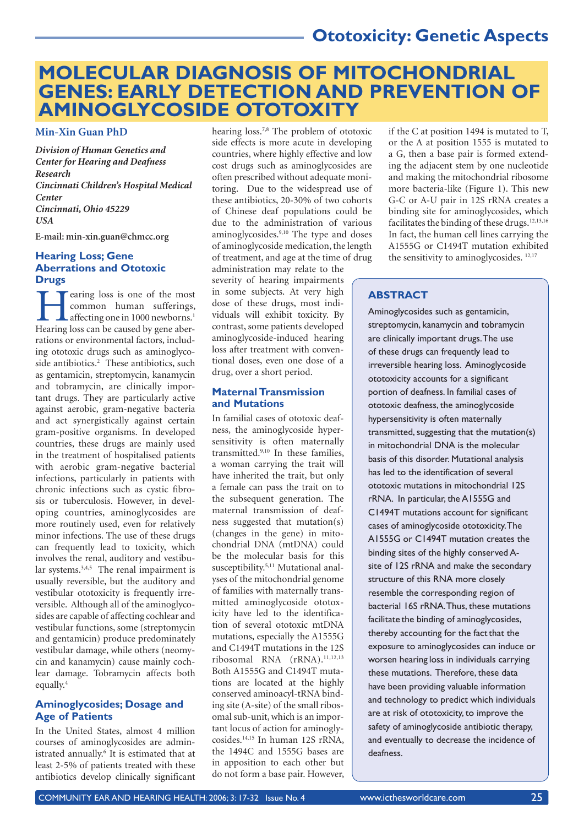### **Ototoxicity: Genetic Aspects**

### **MOLECULAR DIAGNOSIS OF MITOCHONDRIAL GENES: EARLY DETECTION AND PREVENTION OF AMINOGLYCOSIDE OTOTOXITY**

**Min-Xin Guan PhD**

*Division of Human Genetics and Center for Hearing and Deafness Research Cincinnati Children's Hospital Medical Center Cincinnati, Ohio 45229 USA*

**E-mail: min-xin.guan@chmcc.org**

### **Hearing Loss; Gene Aberrations and Ototoxic Drugs**

**T** earing loss is one of the most common human sufferings,  $L$  affecting one in 1000 newborns.<sup>1</sup> Hearing loss can be caused by gene aberrations or environmental factors, including ototoxic drugs such as aminoglycoside antibiotics.<sup>2</sup> These antibiotics, such as gentamicin, streptomycin, kanamycin and tobramycin, are clinically important drugs. They are particularly active against aerobic, gram-negative bacteria and act synergistically against certain gram-positive organisms. In developed countries, these drugs are mainly used in the treatment of hospitalised patients with aerobic gram-negative bacterial infections, particularly in patients with chronic infections such as cystic fibrosis or tuberculosis. However, in developing countries, aminoglycosides are more routinely used, even for relatively minor infections. The use of these drugs can frequently lead to toxicity, which involves the renal, auditory and vestibular systems.3,4,5 The renal impairment is usually reversible, but the auditory and vestibular ototoxicity is frequently irreversible. Although all of the aminoglycosides are capable of affecting cochlear and vestibular functions, some (streptomycin and gentamicin) produce predominately vestibular damage, while others (neomycin and kanamycin) cause mainly cochlear damage. Tobramycin affects both equally.4

### **Aminoglycosides; Dosage and Age of Patients**

In the United States, almost 4 million courses of aminoglycosides are administrated annually.<sup>6</sup> It is estimated that at least 2-5% of patients treated with these antibiotics develop clinically significant

hearing loss.<sup>7,8</sup> The problem of ototoxic side effects is more acute in developing countries, where highly effective and low cost drugs such as aminoglycosides are often prescribed without adequate monitoring. Due to the widespread use of these antibiotics, 20-30% of two cohorts of Chinese deaf populations could be due to the administration of various aminoglycosides.9,10 The type and doses of aminoglycoside medication, the length of treatment, and age at the time of drug administration may relate to the

severity of hearing impairments in some subjects. At very high dose of these drugs, most individuals will exhibit toxicity. By contrast, some patients developed aminoglycoside-induced hearing loss after treatment with conventional doses, even one dose of a drug, over a short period.

### **Maternal Transmission and Mutations**

In familial cases of ototoxic deafness, the aminoglycoside hypersensitivity is often maternally transmitted.9,10 In these families, a woman carrying the trait will have inherited the trait, but only a female can pass the trait on to the subsequent generation. The maternal transmission of deafness suggested that mutation(s) (changes in the gene) in mitochondrial DNA (mtDNA) could be the molecular basis for this susceptibility.5,11 Mutational analyses of the mitochondrial genome of families with maternally transmitted aminoglycoside ototoxicity have led to the identification of several ototoxic mtDNA mutations, especially the A1555G and C1494T mutations in the 12S ribosomal RNA (rRNA).11,12,13 Both A1555G and C1494T mutations are located at the highly conserved aminoacyl-tRNA binding site (A-site) of the small ribosomal sub-unit, which is an important locus of action for aminoglycosides.14,15 In human 12S rRNA, the 1494C and 1555G bases are in apposition to each other but do not form a base pair. However, if the C at position 1494 is mutated to T, or the A at position 1555 is mutated to a G, then a base pair is formed extending the adjacent stem by one nucleotide and making the mitochondrial ribosome more bacteria-like (Figure 1). This new G-C or A-U pair in 12S rRNA creates a binding site for aminoglycosides, which facilitates the binding of these drugs.<sup>12,13,16</sup> In fact, the human cell lines carrying the A1555G or C1494T mutation exhibited the sensitivity to aminoglycosides. <sup>12,17</sup>

### **ABSTRACT**

Aminoglycosides such as gentamicin, streptomycin, kanamycin and tobramycin are clinically important drugs. The use of these drugs can frequently lead to irreversible hearing loss. Aminoglycoside ototoxicity accounts for a significant portion of deafness. In familial cases of ototoxic deafness, the aminoglycoside hypersensitivity is often maternally transmitted, suggesting that the mutation(s) in mitochondrial DNA is the molecular basis of this disorder. Mutational analysis has led to the identification of several ototoxic mutations in mitochondrial 12S rRNA. In particular, the A1555G and C1494T mutations account for significant cases of aminoglycoside ototoxicity. The A1555G or C1494T mutation creates the binding sites of the highly conserved Asite of 12S rRNA and make the secondary structure of this RNA more closely resemble the corresponding region of bacterial 16S rRNA. Thus, these mutations facilitate the binding of aminoglycosides, thereby accounting for the fact that the exposure to aminoglycosides can induce or worsen hearing loss in individuals carrying these mutations. Therefore, these data have been providing valuable information and technology to predict which individuals are at risk of ototoxicity, to improve the safety of aminoglycoside antibiotic therapy, and eventually to decrease the incidence of deafness.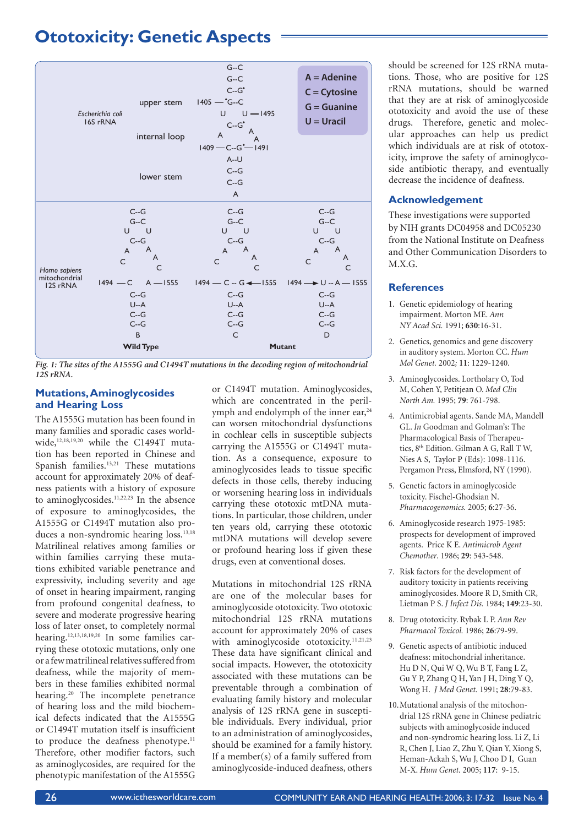### **Ototoxicity: Genetic Aspects**



*Fig. 1: The sites of the A1555G and C1494T mutations in the decoding region of mitochondrial 12S rRNA.* 

### **Mutations, Aminoglycosides and Hearing Loss**

The A1555G mutation has been found in many families and sporadic cases worldwide,<sup>12,18,19,20</sup> while the C1494T mutation has been reported in Chinese and Spanish families.13,21 These mutations account for approximately 20% of deafness patients with a history of exposure to aminoglycosides.<sup>11,22,23</sup> In the absence of exposure to aminoglycosides, the A1555G or C1494T mutation also produces a non-syndromic hearing loss.<sup>13,18</sup> Matrilineal relatives among families or within families carrying these mutations exhibited variable penetrance and expressivity, including severity and age of onset in hearing impairment, ranging from profound congenital deafness, to severe and moderate progressive hearing loss of later onset, to completely normal hearing.12,13,18,19,20 In some families carrying these ototoxic mutations, only one or a few matrilineal relatives suffered from deafness, while the majority of members in these families exhibited normal hearing.<sup>20</sup> The incomplete penetrance of hearing loss and the mild biochemical defects indicated that the A1555G or C1494T mutation itself is insufficient to produce the deafness phenotype.<sup>11</sup> Therefore, other modifier factors, such as aminoglycosides, are required for the phenotypic manifestation of the A1555G

or C1494T mutation. Aminoglycosides, which are concentrated in the perilymph and endolymph of the inner ear,<sup>24</sup> can worsen mitochondrial dysfunctions in cochlear cells in susceptible subjects carrying the A1555G or C1494T mutation. As a consequence, exposure to aminoglycosides leads to tissue specific defects in those cells, thereby inducing or worsening hearing loss in individuals carrying these ototoxic mtDNA mutations. In particular, those children, under ten years old, carrying these ototoxic mtDNA mutations will develop severe or profound hearing loss if given these drugs, even at conventional doses.

Mutations in mitochondrial 12S rRNA are one of the molecular bases for aminoglycoside ototoxicity. Two ototoxic mitochondrial 12S rRNA mutations account for approximately 20% of cases with aminoglycoside ototoxicity.<sup>11,21,23</sup> These data have significant clinical and social impacts. However, the ototoxicity associated with these mutations can be preventable through a combination of evaluating family history and molecular analysis of 12S rRNA gene in susceptible individuals. Every individual, prior to an administration of aminoglycosides, should be examined for a family history. If a member(s) of a family suffered from aminoglycoside-induced deafness, others

should be screened for 12S rRNA mutations. Those, who are positive for 12S rRNA mutations, should be warned that they are at risk of aminoglycoside ototoxicity and avoid the use of these drugs. Therefore, genetic and molecular approaches can help us predict which individuals are at risk of ototoxicity, improve the safety of aminoglycoside antibiotic therapy, and eventually decrease the incidence of deafness.

### **Acknowledgement**

These investigations were supported by NIH grants DC04958 and DC05230 from the National Institute on Deafness and Other Communication Disorders to M.X.G.

### **References**

- 1. Genetic epidemiology of hearing impairment. Morton ME. *Ann NY Acad Sci.* 1991; **630**:16-31.
- 2. Genetics, genomics and gene discovery in auditory system. Morton CC. *Hum Mol Genet.* 2002*;* **11**: 1229-1240.
- 3. Aminoglycosides. Lortholary O, Tod M, Cohen Y, Petitjean O. *Med Clin North Am.* 1995; **79**: 761-798.
- 4. Antimicrobial agents. Sande MA, Mandell GL. *In* Goodman and Golman's: The Pharmacological Basis of Therapeutics, 8th Edition. Gilman A G, Rall T W, Nies A S, Taylor P (Eds): 1098-1116. Pergamon Press, Elmsford, NY (1990).
- 5. Genetic factors in aminoglycoside toxicity. Fischel-Ghodsian N. *Pharmacogenomics.* 2005; **6**:27-36.
- 6. Aminoglycoside research 1975-1985: prospects for development of improved agents. Price K E. *Antimicrob Agent Chemother*. 1986; **29**: 543-548.
- 7. Risk factors for the development of auditory toxicity in patients receiving aminoglycosides. Moore R D, Smith CR, Lietman P S. *J Infect Dis.* 1984; **149**:23-30.
- 8. Drug ototoxicity. Rybak L P. *Ann Rev Pharmacol Toxicol.* 1986; **26**:79-99.
- 9. Genetic aspects of antibiotic induced deafness: mitochondrial inheritance. Hu D N, Qui W Q, Wu B T, Fang L Z, Gu Y P, Zhang Q H, Yan J H, Ding Y Q, Wong H. *J Med Genet.* 1991; **28**:79-83.
- 10. Mutational analysis of the mitochondrial 12S rRNA gene in Chinese pediatric subjects with aminoglycoside induced and non-syndromic hearing loss. Li Z, Li R, Chen J, Liao Z, Zhu Y, Qian Y, Xiong S, Heman-Ackah S, Wu J, Choo D I, Guan M-X. *Hum Genet.* 2005; **117**: 9-15.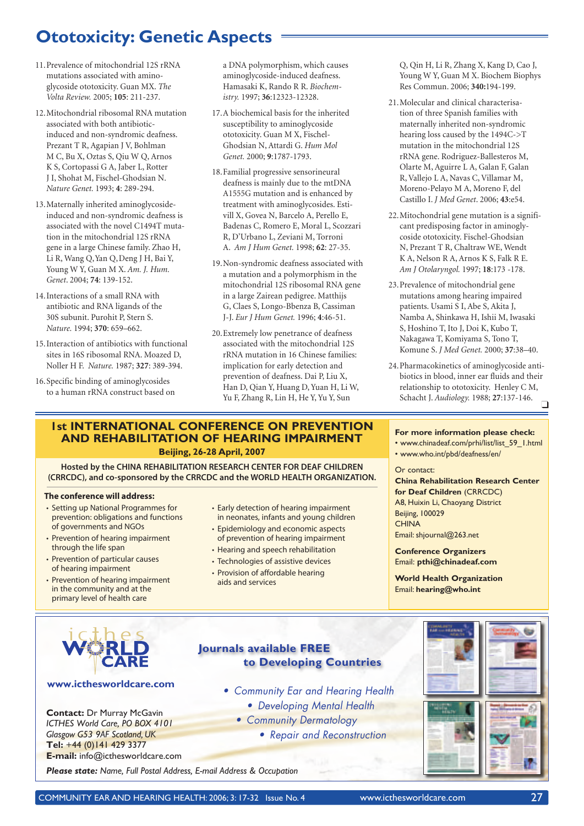### **Ototoxicity: Genetic Aspects**

- 11. Prevalence of mitochondrial 12S rRNA mutations associated with aminoglycoside ototoxicity. Guan MX. *The Volta Review.* 2005; **105**: 211-237.
- 12. Mitochondrial ribosomal RNA mutation associated with both antibioticinduced and non-syndromic deafness. Prezant T R, Agapian J V, Bohlman M C, Bu X, Oztas S, Qiu W Q, Arnos K S, Cortopassi G A, Jaber L, Rotter J I, Shohat M, Fischel-Ghodsian N. *Nature Genet.* 1993; **4**: 289-294.
- 13. Maternally inherited aminoglycosideinduced and non-syndromic deafness is associated with the novel C1494T mutation in the mitochondrial 12S rRNA gene in a large Chinese family. Zhao H, Li R, Wang Q,Yan Q,Deng J H, Bai Y, Young W Y, Guan M X. *Am. J. Hum. Genet*. 2004; **74**: 139-152.
- 14. Interactions of a small RNA with antibiotic and RNA ligands of the 30S subunit. Purohit P, Stern S. *Nature.* 1994; **370**: 659–662.
- 15. Interaction of antibiotics with functional sites in 16S ribosomal RNA. Moazed D, Noller H F. *Nature.* 1987; **327**: 389-394.
- 16. Specific binding of aminoglycosides to a human rRNA construct based on

a DNA polymorphism, which causes aminoglycoside-induced deafness. Hamasaki K, Rando R R. *Biochemistry.* 1997; **36**:12323-12328.

- 17. A biochemical basis for the inherited susceptibility to aminoglycoside ototoxicity. Guan M X, Fischel-Ghodsian N, Attardi G. *Hum Mol Genet.* 2000; **9**:1787-1793.
- 18. Familial progressive sensorineural deafness is mainly due to the mtDNA A1555G mutation and is enhanced by treatment with aminoglycosides. Estivill X, Govea N, Barcelo A, Perello E, Badenas C, Romero E, Moral L, Scozzari R, D'Urbano L, Zeviani M, Torroni A. *Am J Hum Genet.* 1998; **62**: 27-35.
- 19. Non-syndromic deafness associated with a mutation and a polymorphism in the mitochondrial 12S ribosomal RNA gene in a large Zairean pedigree. Matthijs G, Claes S, Longo-Bbenza B, Cassiman J-J. *Eur J Hum Genet.* 1996; **4**:46-51.
- 20. Extremely low penetrance of deafness associated with the mitochondrial 12S rRNA mutation in 16 Chinese families: implication for early detection and prevention of deafness. Dai P, Liu X, Han D, Qian Y, Huang D, Yuan H, Li W, Yu F, Zhang R, Lin H, He Y, Yu Y, Sun

### **1st INTERNATIONAL CONFERENCE ON PREVENTION AND REHABILITATION OF HEARING IMPAIRMENT Beijing, 26-28 April, 2007**

**Hosted by the CHINA REHABILITATION RESEARCH CENTER FOR DEAF CHILDREN (CRRCDC), and co-sponsored by the CRRCDC and the WORLD HEALTH ORGANIZATION.**

#### **The conference will address:**

- Setting up National Programmes for prevention: obligations and functions of governments and NGOs
- Prevention of hearing impairment through the life span
- Prevention of particular causes of hearing impairment
- Prevention of hearing impairment in the community and at the primary level of health care
- Early detection of hearing impairment in neonates, infants and young children
- Epidemiology and economic aspects of prevention of hearing impairment
- Hearing and speech rehabilitation
- Technologies of assistive devices
- Provision of affordable hearing aids and services

**Journals available FREE**

**to Developing Countries**

• Community Ear and Hearing Health • Developing Mental Health

• Community Dermatology

• Repair and Reconstruction

Q, Qin H, Li R, Zhang X, Kang D, Cao J, Young W Y, Guan M X. Biochem Biophys Res Commun. 2006; **340:**194-199.

- 21. Molecular and clinical characterisation of three Spanish families with maternally inherited non-syndromic hearing loss caused by the 1494C->T mutation in the mitochondrial 12S rRNA gene. Rodriguez-Ballesteros M, Olarte M, Aguirre L A, Galan F, Galan R, Vallejo L A, Navas C, Villamar M, Moreno-Pelayo M A, Moreno F, del Castillo I. *J Med Genet*. 2006; **43**:e54.
- 22. Mitochondrial gene mutation is a significant predisposing factor in aminoglycoside ototoxicity. Fischel-Ghodsian N, Prezant T R, Chaltraw WE, Wendt K A, Nelson R A, Arnos K S, Falk R E. *Am J Otolaryngol.* 1997; **18**:173 -178.
- 23. Prevalence of mitochondrial gene mutations among hearing impaired patients. Usami S I, Abe S, Akita J, Namba A, Shinkawa H, Ishii M, Iwasaki S, Hoshino T, Ito J, Doi K, Kubo T, Nakagawa T, Komiyama S, Tono T, Komune S. *J Med Genet.* 2000; **37**:38–40.
- 24. Pharmacokinetics of aminoglycoside antibiotics in blood, inner ear fluids and their relationship to ototoxicity. Henley C M, Schacht J. *Audiology.* 1988; **27**:137-146.  $\Box$

### **For more information please check:**

- www.chinadeaf.com/prhi/list/list\_59\_1.html
- www.who.int/pbd/deafness/en/

#### Or contact:

**China Rehabilitation Research Center for Deaf Children** (CRRCDC) A8, Huixin Li, Chaoyang District Beijing, 100029 **CHINA** Email: shjournal@263.net

**Conference Organizers** Email: **pthi@chinadeaf.com**

**World Health Organization** Email: **hearing@who.int**



#### **www.icthesworldcare.com**

**Contact:** Dr Murray McGavin *ICTHES World Care, PO BOX 4101 Glasgow G53 9AF Scotland, UK* **Tel:** +44 (0)141 429 3377 **E-mail:** info@icthesworldcare.com

*Please state: Name, Full Postal Address, E-mail Address & Occupation*

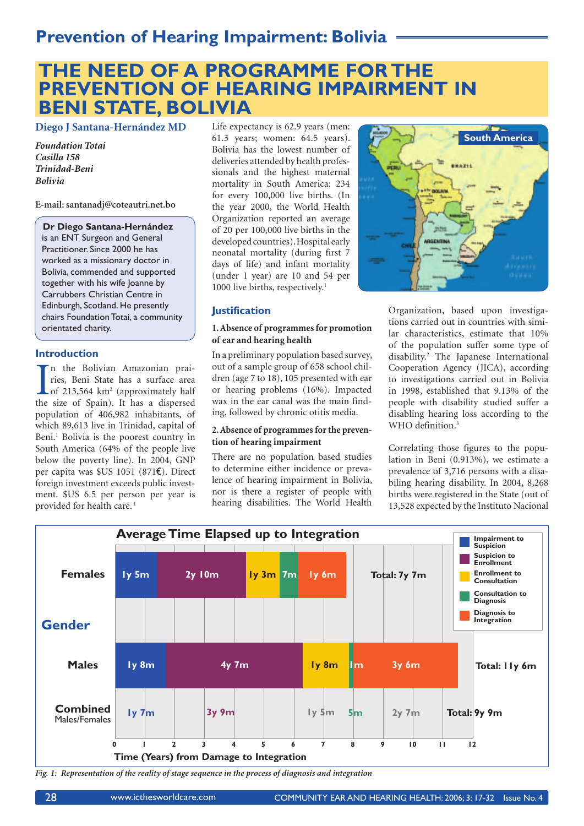### **Prevention of Hearing Impairment: Bolivia**

### **THE NEED OF A PROGRAMME FOR THE PREVENTION OF HEARING IMPAIRMENT IN BENI STATE, BOLIVIA**

**Diego J Santana-Hernández MD**

*Foundation Totai Casilla 158 Trinidad-Beni Bolivia*

**E-mail: santanadj@coteautri.net.bo**

#### **Dr Diego Santana-Hernández**

is an ENT Surgeon and General Practitioner. Since 2000 he has worked as a missionary doctor in Bolivia, commended and supported together with his wife Joanne by Carrubbers Christian Centre in Edinburgh, Scotland. He presently chairs Foundation Totai, a community orientated charity.

### **Introduction**

In the Bolivian Amazonian prairies, Beni State has a surface area of 213,564 km<sup>2</sup> (approximately half the size of Spain). It has a dispersed n the Bolivian Amazonian prairies, Beni State has a surface area of 213,564 km<sup>2</sup> (approximately half population of 406,982 inhabitants, of which 89,613 live in Trinidad, capital of Beni.<sup>1</sup> Bolivia is the poorest country in South America (64% of the people live below the poverty line). In 2004, GNP per capita was \$US 1051 (871€). Direct foreign investment exceeds public investment. \$US 6.5 per person per year is provided for health care.<sup>1</sup>

Life expectancy is 62.9 years (men: 61.3 years; women: 64.5 years). Bolivia has the lowest number of deliveries attended by health professionals and the highest maternal mortality in South America: 234 for every 100,000 live births. (In the year 2000, the World Health Organization reported an average of 20 per 100,000 live births in the developed countries). Hospital early neonatal mortality (during first 7 days of life) and infant mortality (under 1 year) are 10 and 54 per 1000 live births, respectively.<sup>1</sup>



### **Justification**

### **1. Absence of programmes for promotion of ear and hearing health**

In a preliminary population based survey, out of a sample group of 658 school children (age 7 to 18), 105 presented with ear or hearing problems (16%). Impacted wax in the ear canal was the main finding, followed by chronic otitis media.

### **2. Absence of programmes for the prevention of hearing impairment**

There are no population based studies to determine either incidence or prevalence of hearing impairment in Bolivia, nor is there a register of people with hearing disabilities. The World Health

Organization, based upon investigations carried out in countries with similar characteristics, estimate that 10% of the population suffer some type of disability.2 The Japanese International Cooperation Agency (JICA), according to investigations carried out in Bolivia in 1998, established that 9.13% of the people with disability studied suffer a disabling hearing loss according to the WHO definition.<sup>3</sup>

Correlating those figures to the population in Beni (0.913%), we estimate a prevalence of 3,716 persons with a disabiling hearing disability. In 2004, 8,268 births were registered in the State (out of 13,528 expected by the Instituto Nacional



*Fig. 1: Representation of the reality of stage sequence in the process of diagnosis and integration*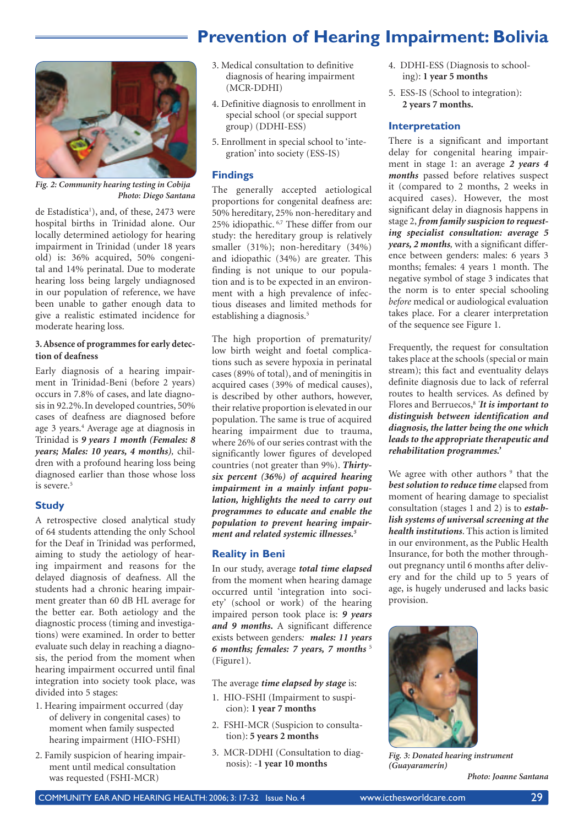### **Prevention of Hearing Impairment: Bolivia**



*Fig. 2: Community hearing testing in Cobija Photo: Diego Santana*

de Estadística<sup>1</sup>), and, of these, 2473 were hospital births in Trinidad alone. Our locally determined aetiology for hearing impairment in Trinidad (under 18 years old) is: 36% acquired, 50% congenital and 14% perinatal. Due to moderate hearing loss being largely undiagnosed in our population of reference, we have been unable to gather enough data to give a realistic estimated incidence for moderate hearing loss.

### **3. Absence of programmes for early detection of deafness**

Early diagnosis of a hearing impairment in Trinidad-Beni (before 2 years) occurs in 7.8% of cases, and late diagnosis in 92.2%.In developed countries, 50% cases of deafness are diagnosed before age 3 years.4 Average age at diagnosis in Trinidad is *9 years 1 month (Females: 8 years; Males: 10 years, 4 months),* children with a profound hearing loss being diagnosed earlier than those whose loss is severe.<sup>5</sup>

### **Study**

A retrospective closed analytical study of 64 students attending the only School for the Deaf in Trinidad was performed, aiming to study the aetiology of hearing impairment and reasons for the delayed diagnosis of deafness. All the students had a chronic hearing impairment greater than 60 dB HL average for the better ear. Both aetiology and the diagnostic process (timing and investigations) were examined. In order to better evaluate such delay in reaching a diagnosis, the period from the moment when hearing impairment occurred until final integration into society took place, was divided into 5 stages:

- 1. Hearing impairment occurred (day of delivery in congenital cases) to moment when family suspected hearing impairment (HIO-FSHI)
- 2. Family suspicion of hearing impairment until medical consultation was requested (FSHI-MCR)
- 3. Medical consultation to definitive diagnosis of hearing impairment (MCR-DDHI)
- 4. Definitive diagnosis to enrollment in special school (or special support group) (DDHI-ESS)
- 5. Enrollment in special school to 'integration' into society (ESS-IS)

### **Findings**

The generally accepted aetiological proportions for congenital deafness are: 50% hereditary, 25% non-hereditary and 25% idiopathic. 6,7 These differ from our study: the hereditary group is relatively smaller (31%); non-hereditary (34%) and idiopathic (34%) are greater. This finding is not unique to our population and is to be expected in an environment with a high prevalence of infectious diseases and limited methods for establishing a diagnosis.<sup>5</sup>

The high proportion of prematurity/ low birth weight and foetal complications such as severe hypoxia in perinatal cases (89% of total), and of meningitis in acquired cases (39% of medical causes), is described by other authors, however, their relative proportion is elevated in our population. The same is true of acquired hearing impairment due to trauma, where 26% of our series contrast with the significantly lower figures of developed countries (not greater than 9%). *Thirtysix percent (36%) of acquired hearing impairment in a mainly infant population, highlights the need to carry out programmes to educate and enable the population to prevent hearing impairment and related systemic illnesses.5*

### **Reality in Beni**

In our study, average *total time elapsed* from the moment when hearing damage occurred until 'integration into society' (school or work) of the hearing impaired person took place is: *9 years and 9 months***.** A significant difference exists between genders*: males: 11 years*  **6 months; females: 7 years, 7 months** <sup>5</sup> (Figure1).

The average *time elapsed by stage* is:

- 1. HIO-FSHI (Impairment to suspicion): **1 year 7 months**
- 2. FSHI-MCR (Suspicion to consultation): **5 years 2 months**
- 3. MCR-DDHI (Consultation to diagnosis): -**1 year 10 months**
- 4. DDHI-ESS (Diagnosis to schooling): **1 year 5 months**
- 5. ESS-IS (School to integration): **2 years 7 months.**

### **Interpretation**

There is a significant and important delay for congenital hearing impairment in stage 1: an average *2 years 4 months* passed before relatives suspect it (compared to 2 months, 2 weeks in acquired cases). However, the most significant delay in diagnosis happens in stage 2, *from family suspicion to requesting specialist consultation: average 5 years, 2 months,* with a significant difference between genders: males: 6 years 3 months; females: 4 years 1 month. The negative symbol of stage 3 indicates that the norm is to enter special schooling *before* medical or audiological evaluation takes place. For a clearer interpretation of the sequence see Figure 1.

Frequently, the request for consultation takes place at the schools (special or main stream); this fact and eventuality delays definite diagnosis due to lack of referral routes to health services. As defined by Flores and Berruecos,8 *' It is important to distinguish between identification and diagnosis, the latter being the one which leads to the appropriate therapeutic and rehabilitation programmes.'*

We agree with other authors <sup>9</sup> that the *best solution to reduce time* elapsed from moment of hearing damage to specialist consultation (stages 1 and 2) is to *establish systems of universal screening at the health institutions*. This action is limited in our environment, as the Public Health Insurance, for both the mother throughout pregnancy until 6 months after delivery and for the child up to 5 years of age, is hugely underused and lacks basic provision.



*Fig. 3: Donated hearing instrument (Guayaramerín)*

*Photo: Joanne Santana*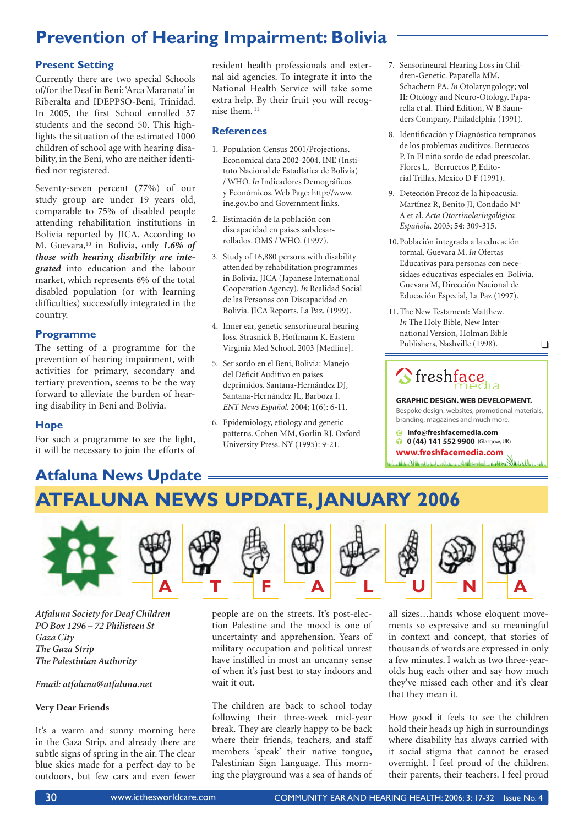### **Prevention of Hearing Impairment: Bolivia**

### **Present Setting**

Currently there are two special Schools of/for the Deaf in Beni: 'Arca Maranata' in Riberalta and IDEPPSO-Beni, Trinidad. In 2005, the first School enrolled 37 students and the second 50. This highlights the situation of the estimated 1000 children of school age with hearing disability, in the Beni, who are neither identified nor registered.

Seventy-seven percent (77%) of our study group are under 19 years old, comparable to 75% of disabled people attending rehabilitation institutions in Bolivia reported by JICA. According to M. Guevara,10 in Bolivia, only *1.6% of those with hearing disability are integrated* into education and the labour market, which represents 6% of the total disabled population (or with learning difficulties) successfully integrated in the country.

### **Programme**

The setting of a programme for the prevention of hearing impairment, with activities for primary, secondary and tertiary prevention, seems to be the way forward to alleviate the burden of hearing disability in Beni and Bolivia.

### **Hope**

For such a programme to see the light, it will be necessary to join the efforts of

**Atfaluna News Update**

resident health professionals and external aid agencies. To integrate it into the National Health Service will take some extra help. By their fruit you will recognise them. 11

### **References**

- 1. Population Census 2001/Projections. Economical data 2002-2004. INE (Instituto Nacional de Estadística de Bolivia) / WHO. *In* Indicadores Demográficos y Económicos. Web Page: http://www. ine.gov.bo and Government links.
- 2. Estimación de la población con discapacidad en países subdesarrollados. OMS / WHO. (1997).
- 3. Study of 16,880 persons with disability attended by rehabilitation programmes in Bolivia. JICA (Japanese International Cooperation Agency). *In* Realidad Social de las Personas con Discapacidad en Bolivia. JICA Reports. La Paz. (1999).
- 4. Inner ear, genetic sensorineural hearing loss. Strasnick B, Hoffmann K. Eastern Virginia Med School. 2003 [Medline].
- 5. Ser sordo en el Beni, Bolivia: Manejo del Déficit Auditivo en países deprimidos. Santana-Hernández DJ, Santana-Hernández JL, Barboza I. *ENT News Español.* 2004; **1**(6): 6-11.
- 6. Epidemiology, etiology and genetic patterns. Cohen MM, Gorlin RJ. Oxford University Press. NY (1995): 9-21.
- 7. Sensorineural Hearing Loss in Children-Genetic. Paparella MM, Schachern PA. *In* Otolaryngology; **vol II:** Otology and Neuro-Otology. Paparella et al. Third Edition, W B Saunders Company, Philadelphia (1991).
- 8. Identificación y Diagnóstico tempranos de los problemas auditivos. Berruecos P. In El niño sordo de edad preescolar. Flores L, Berruecos P, Editorial Trillas, Mexico D F (1991).
- 9. Detección Precoz de la hipoacusia. Martínez R, Benito JI, Condado Ma A et al. *Acta Otorrinolaringológica Española.* 2003; **54**: 309-315.
- 10. Población integrada a la educación formal. Guevara M. *In* Ofertas Educativas para personas con necesidaes educativas especiales en Bolivia. Guevara M, Dirección Nacional de Educación Especial, La Paz (1997).
- 11. The New Testament: Matthew. *In* The Holy Bible, New International Version, Holman Bible Publishers, Nashville (1998).

# Streshface

**GRAPHIC DESIGN. WEB DEVELOPMENT.** Bespoke design: websites, promotional materials, branding, magazines and much more.

 $\Box$ 

**info@freshfacemedia.com 0 (44) 141 552 9900** (Glasgow, UK)

**www.freshfacemedia.com**

# **ATFALUNA NEWS UPDATE, JANUARY 2006**



*Atfaluna Society for Deaf Children PO Box 1296 – 72 Philisteen St Gaza City The Gaza Strip The Palestinian Authority*

#### *Email: atfaluna@atfaluna.net*

### **Very Dear Friends**

It's a warm and sunny morning here in the Gaza Strip, and already there are subtle signs of spring in the air. The clear blue skies made for a perfect day to be outdoors, but few cars and even fewer

people are on the streets. It's post-election Palestine and the mood is one of uncertainty and apprehension. Years of military occupation and political unrest have instilled in most an uncanny sense of when it's just best to stay indoors and wait it out.

The children are back to school today following their three-week mid-year break. They are clearly happy to be back where their friends, teachers, and staff members 'speak' their native tongue, Palestinian Sign Language. This morning the playground was a sea of hands of

all sizes…hands whose eloquent movements so expressive and so meaningful in context and concept, that stories of thousands of words are expressed in only a few minutes. I watch as two three-yearolds hug each other and say how much they've missed each other and it's clear that they mean it.

How good it feels to see the children hold their heads up high in surroundings where disability has always carried with it social stigma that cannot be erased overnight. I feel proud of the children, their parents, their teachers. I feel proud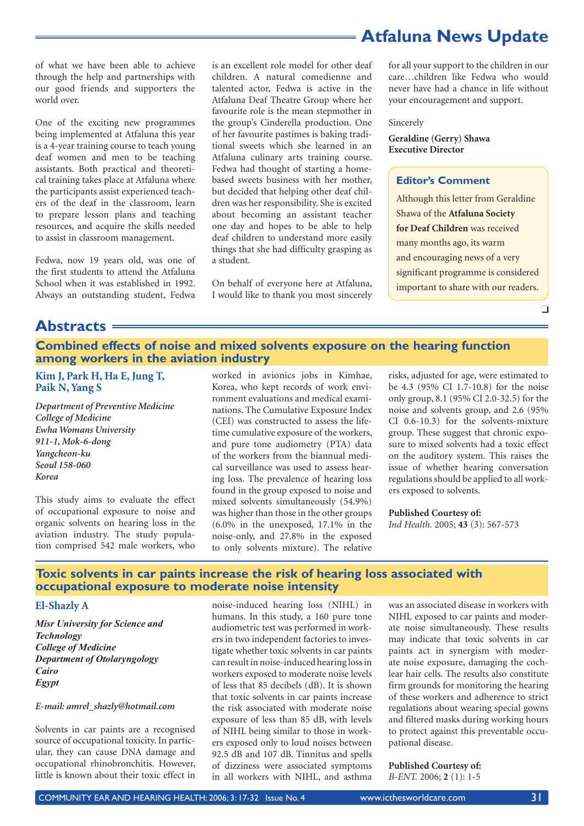**Atfaluna News Update**

of what we have been able to achieve through the help and partnerships with our good friends and supporters the world over.

One of the exciting new programmes being implemented at Atfaluna this year is a 4-year training course to teach young deaf women and men to be teaching assistants. Both practical and theoretical training takes place at Atfaluna where the participants assist experienced teachers of the deaf in the classroom, learn to prepare lesson plans and teaching resources, and acquire the skills needed to assist in classroom management.

Fedwa, now 19 years old, was one of the first students to attend the Atfaluna School when it was established in 1992. Always an outstanding student, Fedwa is an excellent role model for other deaf children. A natural comedienne and talented actor, Fedwa is active in the Atfaluna Deaf Theatre Group where her favourite role is the mean stepmother in the group's Cinderella production. One of her favourite pastimes is baking traditional sweets which she learned in an Atfaluna culinary arts training course. Fedwa had thought of starting a homebased sweets business with her mother, but decided that helping other deaf children was her responsibility. She is excited about becoming an assistant teacher one day and hopes to be able to help deaf children to understand more easily things that she had difficulty grasping as a student.

On behalf of everyone here at Atfaluna, I would like to thank you most sincerely

for all your support to the children in our care…children like Fedwa who would never have had a chance in life without your encouragement and support.

#### Sincerely

**Geraldine (Gerry) Shawa Executive Director**

### **Editor's Comment**

Although this letter from Geraldine Shawa of the **Atfaluna Society for Deaf Children** was received many months ago, its warm and encouraging news of a very significant programme is considered important to share with our readers.

 $\Box$ 

**Abstracts**

### **Combined effects of noise and mixed solvents exposure on the hearing function among workers in the aviation industry**

### **Kim J, Park H, Ha E, Jung T, Paik N, Yang S**

*Department of Preventive Medicine College of Medicine Ewha Womans University 911-1, Mok-6-dong Yangcheon-ku Seoul 158-060 Korea*

This study aims to evaluate the effect of occupational exposure to noise and organic solvents on hearing loss in the aviation industry. The study population comprised 542 male workers, who worked in avionics jobs in Kimhae, Korea, who kept records of work environment evaluations and medical examinations. The Cumulative Exposure Index (CEI) was constructed to assess the lifetime cumulative exposure of the workers, and pure tone audiometry (PTA) data of the workers from the biannual medical surveillance was used to assess hearing loss. The prevalence of hearing loss found in the group exposed to noise and mixed solvents simultaneously (54.9%) was higher than those in the other groups (6.0% in the unexposed, 17.1% in the noise-only, and 27.8% in the exposed to only solvents mixture). The relative

risks, adjusted for age, were estimated to be 4.3 (95% CI 1.7-10.8) for the noise only group, 8.1 (95% CI 2.0-32.5) for the noise and solvents group, and 2.6 (95% CI 0.6-10.3) for the solvents-mixture group. These suggest that chronic exposure to mixed solvents had a toxic effect on the auditory system. This raises the issue of whether hearing conversation regulations should be applied to all workers exposed to solvents.

**Published Courtesy of:** *Ind Health.* 2005; **43** (3): 567-573

### **Toxic solvents in car paints increase the risk of hearing loss associated with occupational exposure to moderate noise intensity**

#### **El-Shazly A**

*Misr University for Science and Technology College of Medicine Department of Otolaryngology Cairo Egypt*

#### *E-mail: amrel\_shazly@hotmail.com*

Solvents in car paints are a recognised source of occupational toxicity. In particular, they can cause DNA damage and occupational rhinobronchitis. However, little is known about their toxic effect in noise-induced hearing loss (NIHL) in humans. In this study, a 160 pure tone audiometric test was performed in workers in two independent factories to investigate whether toxic solvents in car paints can result in noise-induced hearing loss in workers exposed to moderate noise levels of less that 85 decibels (dB). It is shown that toxic solvents in car paints increase the risk associated with moderate noise exposure of less than 85 dB, with levels of NIHL being similar to those in workers exposed only to loud noises between 92.5 dB and 107 dB. Tinnitus and spells of dizziness were associated symptoms in all workers with NIHL, and asthma

was an associated disease in workers with NIHL exposed to car paints and moderate noise simultaneously. These results may indicate that toxic solvents in car paints act in synergism with moderate noise exposure, damaging the cochlear hair cells. The results also constitute firm grounds for monitoring the hearing of these workers and adherence to strict regulations about wearing special gowns and filtered masks during working hours to protect against this preventable occupational disease.

#### **Published Courtesy of:** *B-ENT.* 2006; **2** (1): 1-5